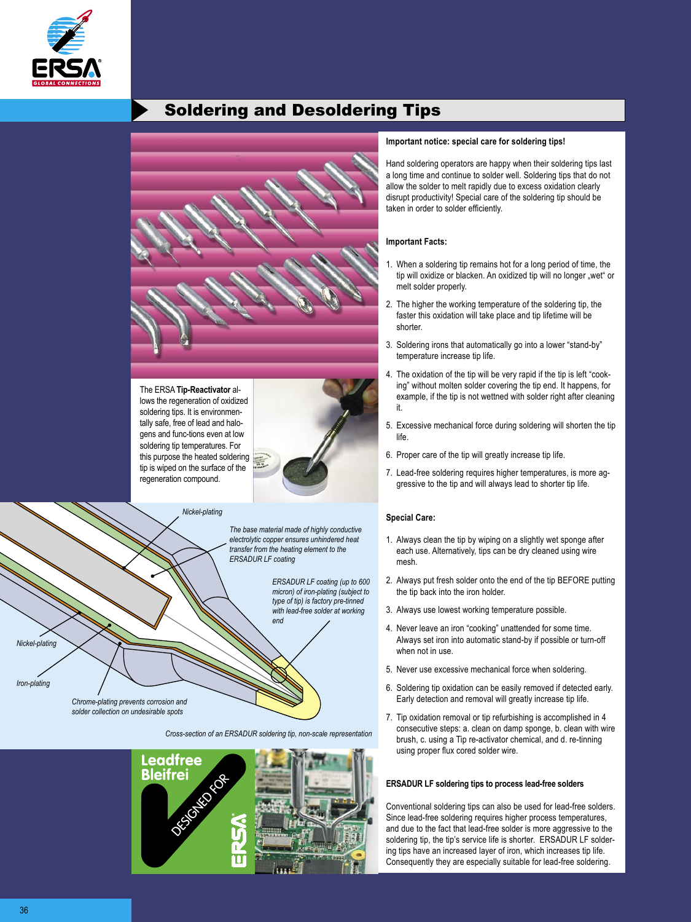

# Soldering and Desoldering Tips



The ERSA **Tip-Reactivator** allows the regeneration of oxidized soldering tips. It is environmentally safe, free of lead and halogens and func-tions even at low soldering tip temperatures. For this purpose the heated soldering tip is wiped on the surface of the regeneration compound.

*Nickel-plating*



*The base material made of highly conductive electrolytic copper ensures unhindered heat transfer from the heating element to the* 

*ERSADUR LF coating*

*ERSADUR LF coating (up to 600 micron) of iron-plating (subject to type of tip) is factory pre-tinned with lead-free solder at working end*

*Chrome-plating prevents corrosion and solder collection on undesirable spots*

*Cross-section of an ERSADUR soldering tip, non-scale representation*



#### **Important notice: special care for soldering tips!**

Hand soldering operators are happy when their soldering tips last a long time and continue to solder well. Soldering tips that do not allow the solder to melt rapidly due to excess oxidation clearly disrupt productivity! Special care of the soldering tip should be taken in order to solder efficiently.

#### **Important Facts:**

- 1. When a soldering tip remains hot for a long period of time, the tip will oxidize or blacken. An oxidized tip will no longer "wet" or melt solder properly.
- 2. The higher the working temperature of the soldering tip, the faster this oxidation will take place and tip lifetime will be shorter.
- 3. Soldering irons that automatically go into a lower "stand-by" temperature increase tip life.
- 4. The oxidation of the tip will be very rapid if the tip is left "cooking" without molten solder covering the tip end. It happens, for example, if the tip is not wettned with solder right after cleaning it.
- 5. Excessive mechanical force during soldering will shorten the tip life.
- 6. Proper care of the tip will greatly increase tip life.
- 7. Lead-free soldering requires higher temperatures, is more aggressive to the tip and will always lead to shorter tip life.

## **Special Care:**

- 1. Always clean the tip by wiping on a slightly wet sponge after each use. Alternatively, tips can be dry cleaned using wire mesh.
- 2. Always put fresh solder onto the end of the tip BEFORE putting the tip back into the iron holder.
- 3. Always use lowest working temperature possible.
- 4. Never leave an iron "cooking" unattended for some time. Always set iron into automatic stand-by if possible or turn-off when not in use.
- 5. Never use excessive mechanical force when soldering.
- 6. Soldering tip oxidation can be easily removed if detected early. Early detection and removal will greatly increase tip life.
- 7. Tip oxidation removal or tip refurbishing is accomplished in 4 consecutive steps: a. clean on damp sponge, b. clean with wire brush, c. using a Tip re-activator chemical, and d. re-tinning using proper flux cored solder wire.

#### **ERSADUR LF soldering tips to process lead-free solders**

Conventional soldering tips can also be used for lead-free solders. Since lead-free soldering requires higher process temperatures, and due to the fact that lead-free solder is more aggressive to the soldering tip, the tip's service life is shorter. ERSADUR LF soldering tips have an increased layer of iron, which increases tip life. Consequently they are especially suitable for lead-free soldering.

36 and 200 million and 200 million and 200 million and 200 million and 200 million and 200 million and 200 mill

*Iron-plating* 

*Nickel-plating*